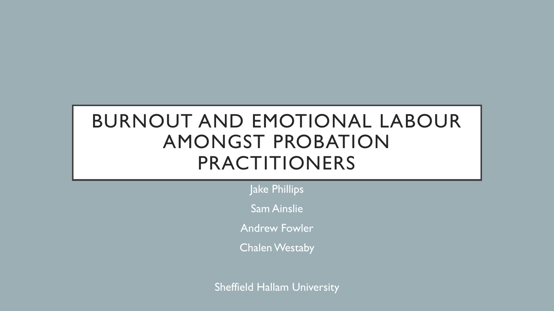# BURNOUT AND EMOTIONAL LABOUR AMONGST PROBATION PRACTITIONERS

Jake Phillips

Sam Ainslie

Andrew Fowler

**Chalen Westaby** 

Sheffield Hallam University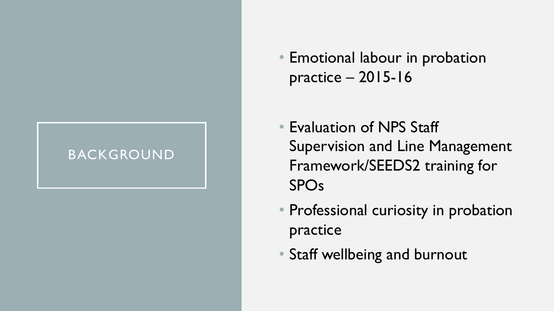#### BACKGROUND

• Emotional labour in probation practice – 2015-16

- Evaluation of NPS Staff Supervision and Line Management Framework/SEEDS2 training for SPOs
- Professional curiosity in probation practice
- Staff wellbeing and burnout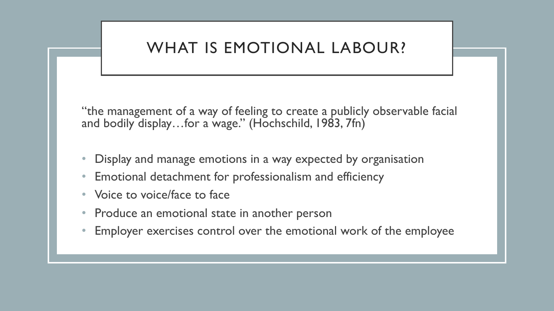# WHAT IS EMOTIONAL LABOUR?

"the management of a way of feeling to create a publicly observable facial and bodily display...for a wage." (Hochschild, 1983, 7fn)

- Display and manage emotions in a way expected by organisation
- Emotional detachment for professionalism and efficiency
- Voice to voice/face to face
- Produce an emotional state in another person
- Employer exercises control over the emotional work of the employee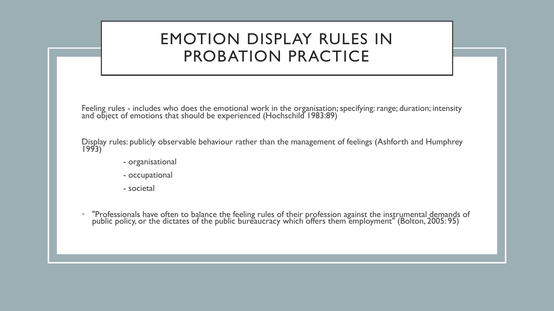# EMOTION DISPLAY RULES IN PROBATION PRACTICE

Feeling rules - includes who does the emotional work in the organisation; specifying: range; duration; intensity and object of emotions that should be experienced (Hochschild 1983:89)

Display rules: publicly observable behaviour rather than the management of feelings (Ashforth and Humphrey 1993)

- organisational
- occupational
- societal
- "Professionals have often to balance the feeling rules of their profession against the instrumental demands of public policy, or the dictates of the public bureaucracy which offers them employment" (Bolton, 2005: 95)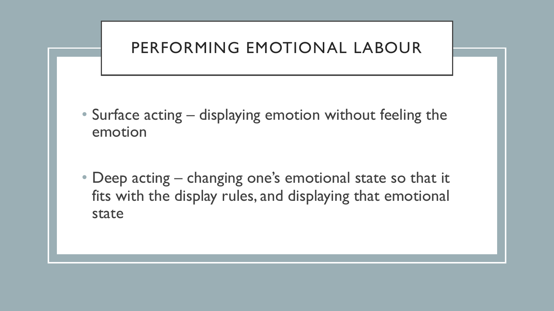# PERFORMING EMOTIONAL LABOUR

- Surface acting displaying emotion without feeling the emotion
- Deep acting changing one's emotional state so that it fits with the display rules, and displaying that emotional state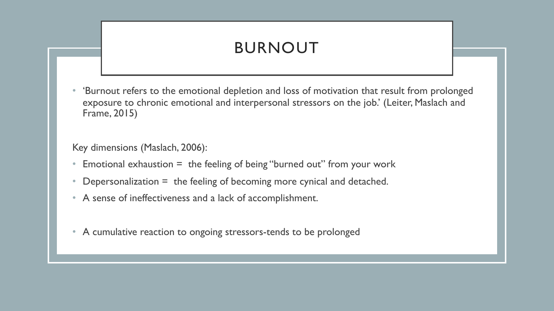# BURNOUT

• 'Burnout refers to the emotional depletion and loss of motivation that result from prolonged exposure to chronic emotional and interpersonal stressors on the job.' (Leiter, Maslach and Frame, 2015)

Key dimensions (Maslach, 2006):

- Emotional exhaustion = the feeling of being "burned out" from your work
- Depersonalization  $=$  the feeling of becoming more cynical and detached.
- A sense of ineffectiveness and a lack of accomplishment.
- A cumulative reaction to ongoing stressors-tends to be prolonged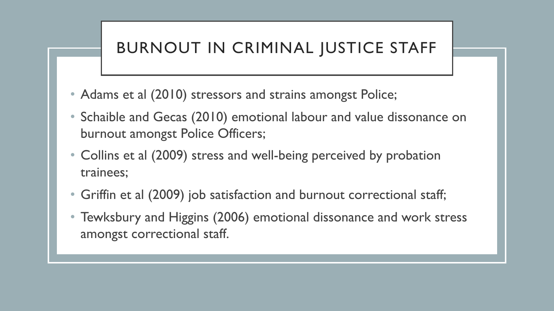# BURNOUT IN CRIMINAL JUSTICE STAFF

- Adams et al (2010) stressors and strains amongst Police;
- Schaible and Gecas (2010) emotional labour and value dissonance on burnout amongst Police Officers;
- Collins et al (2009) stress and well-being perceived by probation trainees;
- Griffin et al (2009) job satisfaction and burnout correctional staff;
- Tewksbury and Higgins (2006) emotional dissonance and work stress amongst correctional staff.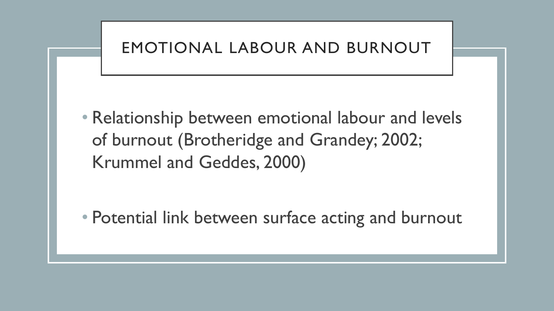

• Relationship between emotional labour and levels of burnout (Brotheridge and Grandey; 2002; Krummel and Geddes, 2000)

• Potential link between surface acting and burnout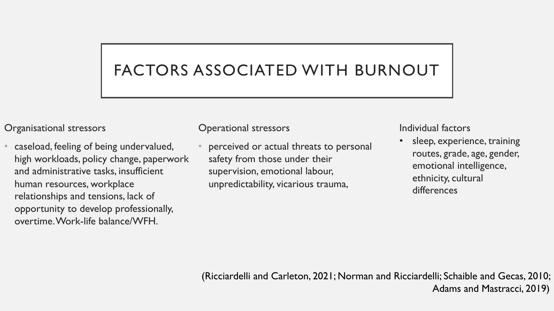# FACTORS ASSOCIATED WITH BURNOUT

#### Organisational stressors

• caseload, feeling of being undervalued, high workloads, policy change, paperwork and administrative tasks, insufficient human resources, workplace relationships and tensions, lack of opportunity to develop professionally, overtime. Work-life balance/WFH.

Operational stressors

• perceived or actual threats to personal safety from those under their supervision, emotional labour, unpredictability, vicarious trauma,

Individual factors

sleep, experience, training routes, grade, age, gender, emotional intelligence, ethnicity, cultural differences

(Ricciardelli and Carleton, 2021; Norman and Ricciardelli; Schaible and Gecas, 2010; Adams and Mastracci, 2019)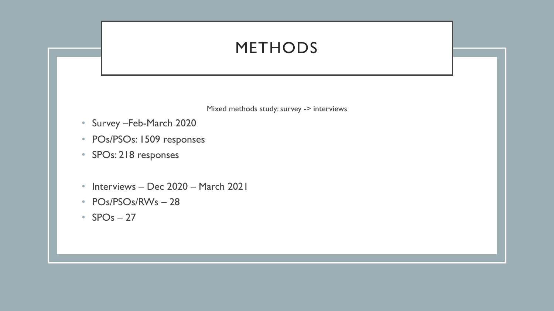# METHODS

Mixed methods study: survey -> interviews

- Survey –Feb-March 2020
- POs/PSOs: 1509 responses
- SPOs: 218 responses
- Interviews Dec 2020 March 2021
- POs/PSOs/RWs 28
- $SPOs 27$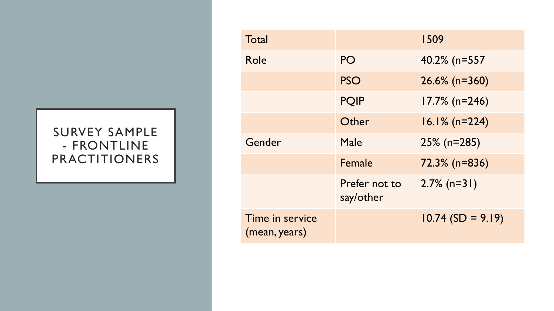#### SURVEY SAMPLE - FRONTLINE PRACTITIONERS

| Total                            |                            | 1509                |
|----------------------------------|----------------------------|---------------------|
| Role                             | PO                         | 40.2% (n=557)       |
|                                  | <b>PSO</b>                 | $26.6\%$ (n=360)    |
|                                  | <b>PQIP</b>                | $17.7\%$ (n=246)    |
|                                  | Other                      | $16.1\%$ (n=224)    |
| Gender                           | Male                       | $25\%$ (n=285)      |
|                                  | Female                     | 72.3% (n=836)       |
|                                  | Prefer not to<br>say/other | $2.7\%$ (n=31)      |
| Time in service<br>(mean, years) |                            | $10.74$ (SD = 9.19) |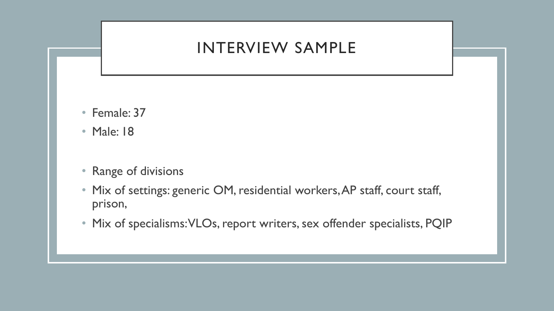### INTERVIEW SAMPLE

- Female: 37
- Male: 18
- Range of divisions
- Mix of settings: generic OM, residential workers, AP staff, court staff, prison,
- Mix of specialisms: VLOs, report writers, sex offender specialists, PQIP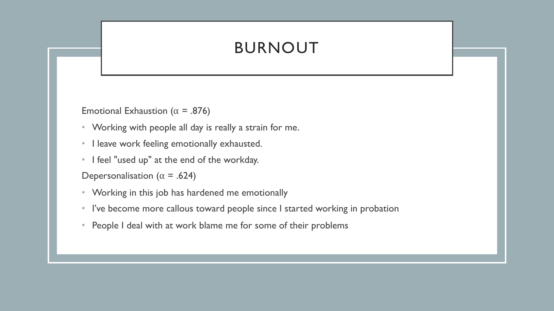# BURNOUT

Emotional Exhaustion ( $\alpha$  = .876)

- Working with people all day is really a strain for me.
- I leave work feeling emotionally exhausted.
- I feel "used up" at the end of the workday.

Depersonalisation ( $\alpha$  = .624)

- Working in this job has hardened me emotionally
- I've become more callous toward people since I started working in probation
- People I deal with at work blame me for some of their problems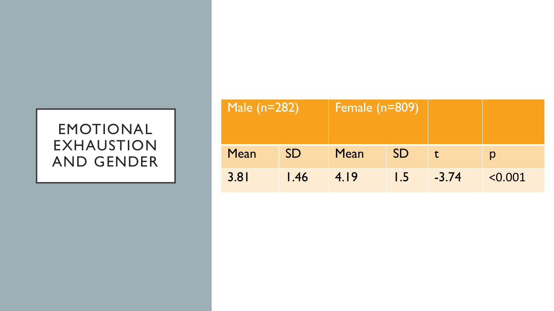#### EMOTIONAL EXHAUSTION AND GENDER

|      | Male (n=282)      |      | Female $(n=809)^{6}$ |         |         |
|------|-------------------|------|----------------------|---------|---------|
| Mean | <b>SD</b>         | Mean | <b>SD</b>            |         |         |
| 3.81 | $\overline{1.46}$ | 4.19 | l .5                 | $-3.74$ | < 0.001 |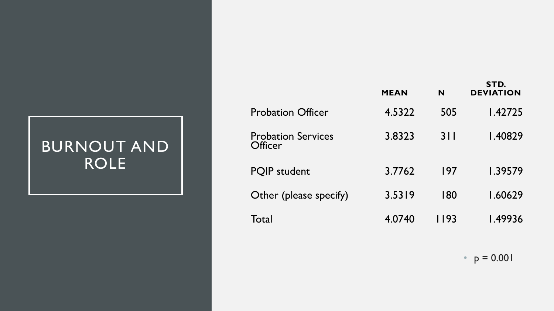# BURNOUT AND ROLE

|                                             | <b>MEAN</b> | N      | STD.<br><b>DEVIATION</b> |
|---------------------------------------------|-------------|--------|--------------------------|
| <b>Probation Officer</b>                    | 4.5322      | 505    | 1.42725                  |
| <b>Probation Services</b><br><b>Officer</b> | 3.8323      | 311    | 1.40829                  |
| <b>PQIP</b> student                         | 3.7762      | 197    | 1.39579                  |
| Other (please specify)                      | 3.5319      | 180    | 1.60629                  |
| Total                                       | 4.0740      | I I 93 | 1.49936                  |

•  $p = 0.001$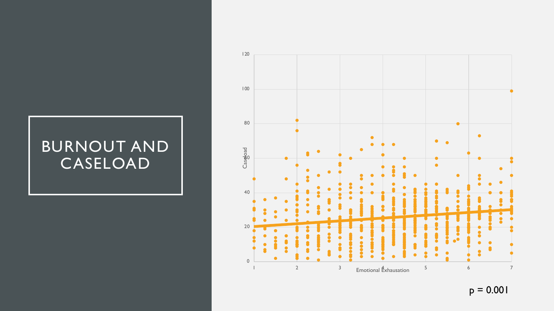# BURNOUT AND CASELOAD



 $p = 0.001$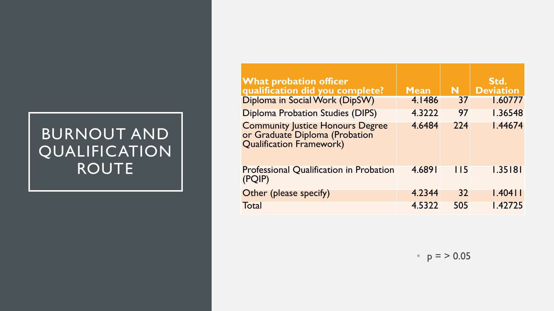# BURNOUT AND QUALIFICATION ROUTE

| <b>What probation officer</b><br>qualification did you complete?                                      | <b>Mean</b> | N           | Std.<br><b>Deviation</b> |
|-------------------------------------------------------------------------------------------------------|-------------|-------------|--------------------------|
| Diploma in Social Work (DipSW)                                                                        | 4.1486      | 37          | 1.60777                  |
| <b>Diploma Probation Studies (DIPS)</b>                                                               | 4.3222      | 97          | 1.36548                  |
| <b>Community Justice Honours Degree</b><br>or Graduate Diploma (Probation<br>Qualification Framework) | 4.6484      | 224         | 1.44674                  |
| Professional Qualification in Probation<br>(PQIP)                                                     | 4.6891      | <u> 115</u> | 1.35181                  |
| Other (please specify)                                                                                | 4.2344      | 32          | $1.404$                  |
| Total                                                                                                 | 4.5322      | 505         | 1.42725                  |

•  $p = > 0.05$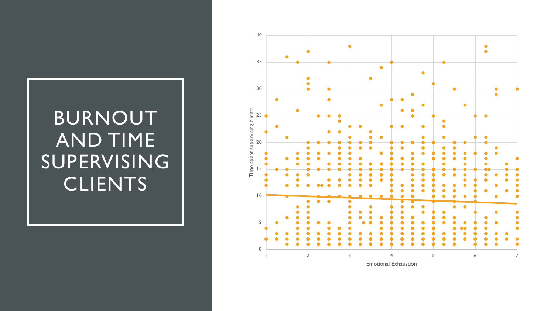# BURNOUT AND TIME SUPERVISING CLIENTS

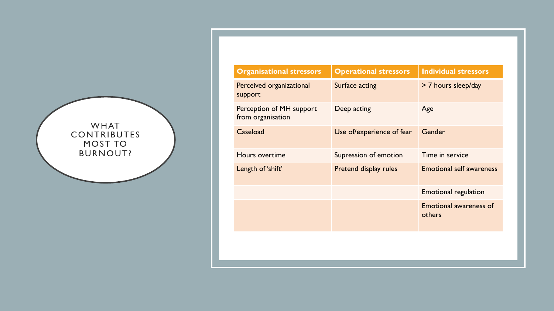

| <b>Organisational stressors</b>               | <b>Operational stressors</b> | <b>Individual stressors</b>             |
|-----------------------------------------------|------------------------------|-----------------------------------------|
| Perceived organizational<br>support           | Surface acting               | > 7 hours sleep/day                     |
| Perception of MH support<br>from organisation | Deep acting                  | Age                                     |
| Caseload                                      | Use of/experience of fear    | Gender                                  |
| Hours overtime                                | Supression of emotion        | Time in service                         |
| Length of 'shift'                             | Pretend display rules        | <b>Emotional self awareness</b>         |
|                                               |                              | <b>Emotional regulation</b>             |
|                                               |                              | <b>Emotional awareness of</b><br>others |
|                                               |                              |                                         |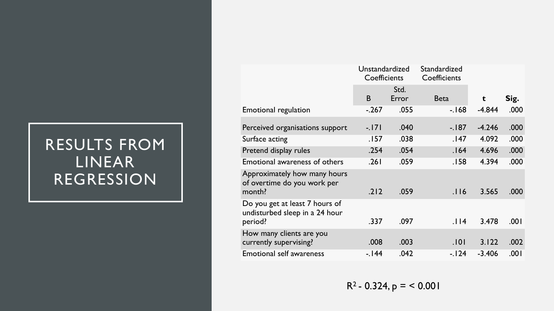# RESULTS FROM LINEAR REGRESSION

|                                                                             | Unstandardized<br>Coefficients |               | Standardized<br>Coefficients |          |      |
|-----------------------------------------------------------------------------|--------------------------------|---------------|------------------------------|----------|------|
|                                                                             | B                              | Std.<br>Error | <b>Beta</b>                  | t        | Sig. |
| Emotional regulation                                                        | $-.267$                        | .055          | $-168$                       | $-4.844$ | .000 |
| Perceived organisations support                                             | $-171$                         | .040          | $-187$                       | $-4.246$ | .000 |
| Surface acting                                                              | .157                           | .038          | .147                         | 4.092    | .000 |
| Pretend display rules                                                       | .254                           | .054          | .164                         | 4.696    | .000 |
| Emotional awareness of others                                               | .261                           | .059          | .158                         | 4.394    | .000 |
| Approximately how many hours<br>of overtime do you work per<br>month?       | .212                           | .059          | .116                         | 3.565    | .000 |
| Do you get at least 7 hours of<br>undisturbed sleep in a 24 hour<br>period? | .337                           | .097          | .114                         | 3.478    | .001 |
| How many clients are you<br>currently supervising?                          | .008                           | .003          | .101                         | 3.122    | .002 |
| <b>Emotional self awareness</b>                                             | $-144$                         | .042          | $-124$                       | $-3.406$ | .001 |

 $R^2 - 0.324$ ,  $p = 6.001$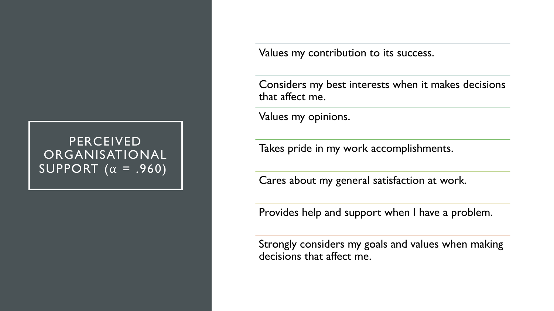#### PERCEIVED ORGANISATIONAL SUPPORT  $(\alpha = .960)$

Values my contribution to its success.

Considers my best interests when it makes decisions that affect me.

Values my opinions.

Takes pride in my work accomplishments.

Cares about my general satisfaction at work.

Provides help and support when I have a problem.

Strongly considers my goals and values when making decisions that affect me.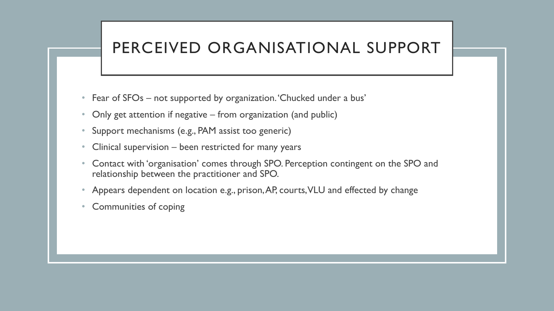# PERCEIVED ORGANISATIONAL SUPPORT

- Fear of SFOs not supported by organization. Chucked under a bus'
- Only get attention if negative from organization (and public)
- Support mechanisms (e.g., PAM assist too generic)
- Clinical supervision been restricted for many years
- Contact with 'organisation' comes through SPO. Perception contingent on the SPO and relationship between the practitioner and SPO.
- Appears dependent on location e.g., prison, AP, courts, VLU and effected by change
- Communities of coping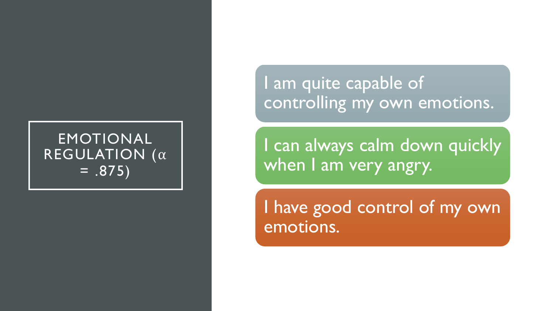### EMOTIONAL REGULATION  $(\alpha)$  $= .875)$

I am quite capable of controlling my own emotions.

I can always calm down quickly when I am very angry.

I have good control of my own emotions.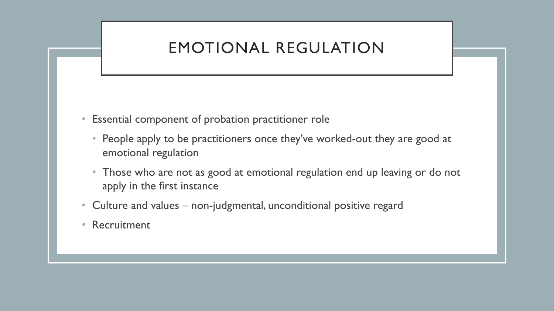# EMOTIONAL REGULATION

- Essential component of probation practitioner role
	- People apply to be practitioners once they've worked-out they are good at emotional regulation
	- Those who are not as good at emotional regulation end up leaving or do not apply in the first instance
- Culture and values non-judgmental, unconditional positive regard
- Recruitment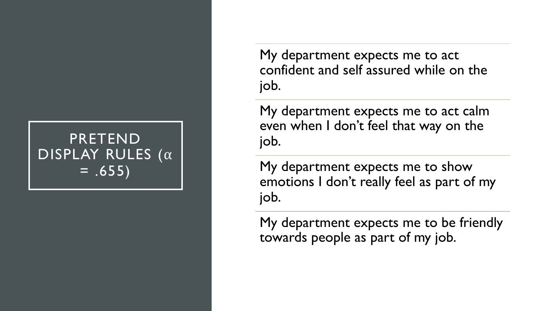### **PRETEND** DISPLAY RULES  $(\alpha$  $= .655)$

My department expects me to act confident and self assured while on the job.

My department expects me to act calm even when I don't feel that way on the job.

My department expects me to show emotions I don't really feel as part of my job.

My department expects me to be friendly towards people as part of my job.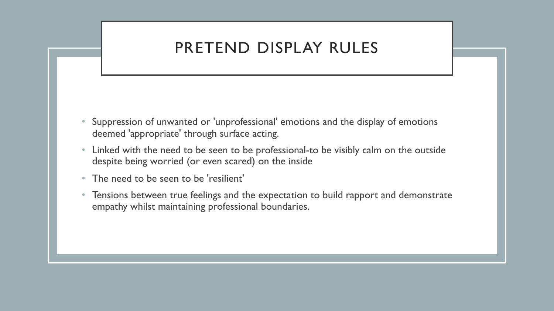# PRETEND DISPLAY RULES

- Suppression of unwanted or 'unprofessional' emotions and the display of emotions deemed 'appropriate' through surface acting.
- Linked with the need to be seen to be professional-to be visibly calm on the outside despite being worried (or even scared) on the inside
- The need to be seen to be 'resilient'
- Tensions between true feelings and the expectation to build rapport and demonstrate empathy whilst maintaining professional boundaries.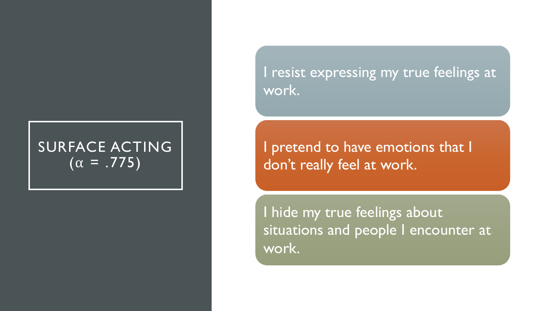# SURFACE ACTING  $\sqrt{(\alpha - .775)}$

I resist expressing my true feelings at work.

I pretend to have emotions that I don't really feel at work.

I hide my true feelings about situations and people I encounter at work.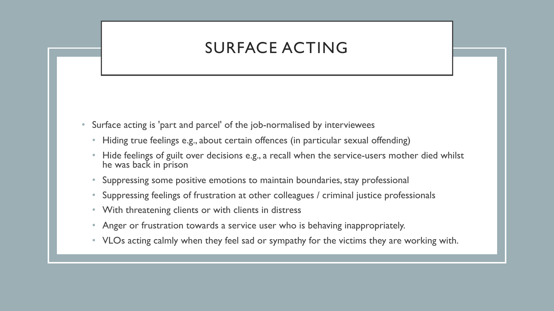# SURFACE ACTING

- Surface acting is 'part and parcel' of the job-normalised by interviewees
	- Hiding true feelings e.g., about certain offences (in particular sexual offending)
	- Hide feelings of guilt over decisions e.g., a recall when the service-users mother died whilst he was back in prison
	- Suppressing some positive emotions to maintain boundaries, stay professional
	- Suppressing feelings of frustration at other colleagues / criminal justice professionals
	- With threatening clients or with clients in distress
	- Anger or frustration towards a service user who is behaving inappropriately.
	- VLOs acting calmly when they feel sad or sympathy for the victims they are working with.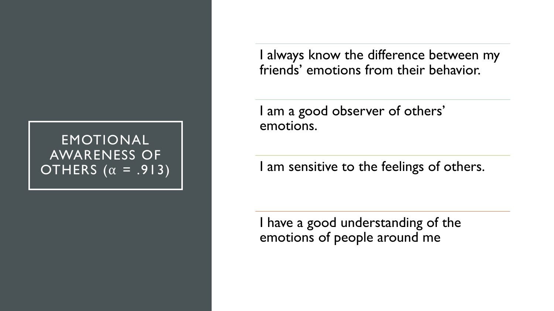#### EMOTIONAL AWARENESS OF OTHERS  $(\alpha = .913)$

I always know the difference between my friends' emotions from their behavior.

I am a good observer of others' emotions.

I am sensitive to the feelings of others.

I have a good understanding of the emotions of people around me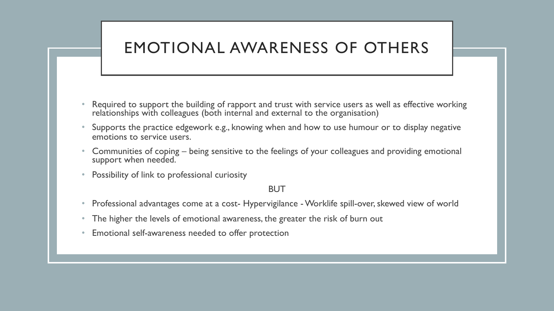# EMOTIONAL AWARENESS OF OTHERS

- Required to support the building of rapport and trust with service users as well as effective working relationships with colleagues (both internal and external to the organisation)
- Supports the practice edgework e.g., knowing when and how to use humour or to display negative emotions to service users.
- Communities of coping being sensitive to the feelings of your colleagues and providing emotional support when needed.
- Possibility of link to professional curiosity

#### BUT

- Professional advantages come at a cost- Hypervigilance Worklife spill-over, skewed view of world
- The higher the levels of emotional awareness, the greater the risk of burn out
- Emotional self-awareness needed to offer protection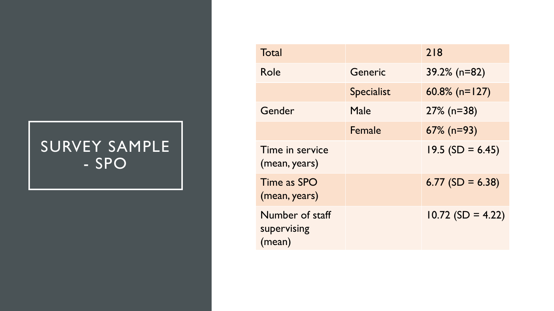# SURVEY SAMPLE - SPO

| Total                                    |                   | 218                 |
|------------------------------------------|-------------------|---------------------|
| Role                                     | Generic           | $39.2\%$ (n=82)     |
|                                          | <b>Specialist</b> | 60.8% ( $n=127$ )   |
| Gender                                   | Male              | $27\%$ (n=38)       |
|                                          | Female            | $67\%$ (n=93)       |
| Time in service<br>(mean, years)         |                   | $19.5$ (SD = 6.45)  |
| Time as SPO<br>(mean, years)             |                   | $6.77$ (SD = 6.38)  |
| Number of staff<br>supervising<br>(mean) |                   | $10.72$ (SD = 4.22) |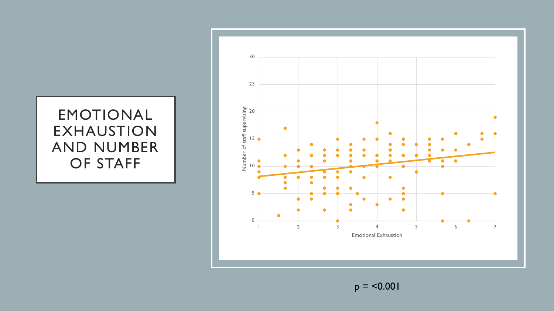#### EMOTIONAL EXHAUSTION AND NUMBER OF STAFF



 $p = 50.001$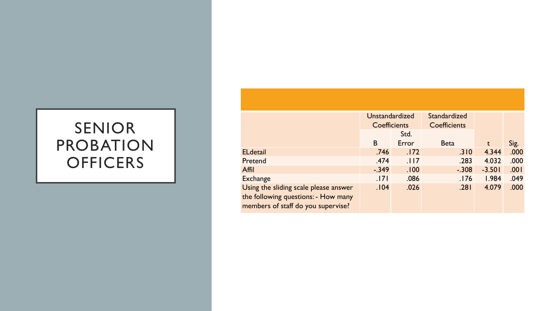# SENIOR PROBATION **OFFICERS**

|                                       | <b>Unstandardized</b> |       | Standardized        |          |      |
|---------------------------------------|-----------------------|-------|---------------------|----------|------|
|                                       | <b>Coefficients</b>   |       | <b>Coefficients</b> |          |      |
|                                       |                       | Std.  |                     |          |      |
|                                       | B                     | Error | <b>Beta</b>         | t        | Sig. |
| <b>ELdetail</b>                       | .746                  | .172  | .310                | 4.344    | .000 |
| Pretend                               | .474                  | .117  | .283                | 4.032    | .000 |
| Affil                                 | $-.349$               | .100  | $-.308$             | $-3.501$ | .001 |
| <b>Exchange</b>                       | .171                  | .086  | .176                | 1.984    | .049 |
| Using the sliding scale please answer | .104                  | .026  | .281                | 4.079    | .000 |
| the following questions: - How many   |                       |       |                     |          |      |
| members of staff do you supervise?    |                       |       |                     |          |      |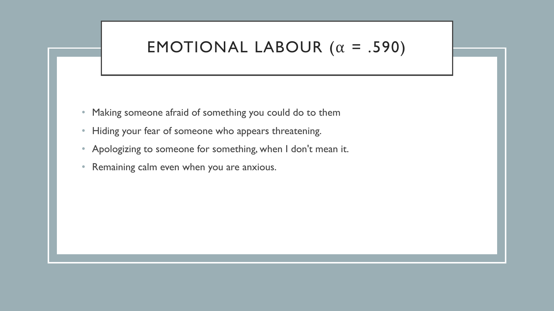### EMOTIONAL LABOUR  $(\alpha = .590)$

- Making someone afraid of something you could do to them
- Hiding your fear of someone who appears threatening.
- Apologizing to someone for something, when I don't mean it.
- Remaining calm even when you are anxious.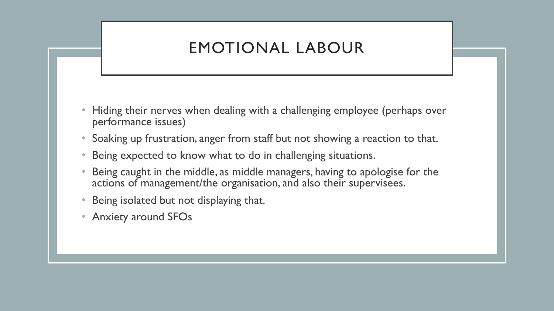# EMOTIONAL LABOUR

- Hiding their nerves when dealing with a challenging employee (perhaps over performance issues)
- Soaking up frustration, anger from staff but not showing a reaction to that.
- Being expected to know what to do in challenging situations.
- Being caught in the middle, as middle managers, having to apologise for the actions of management/the organisation, and also their supervisees.
- Being isolated but not displaying that.
- Anxiety around SFOs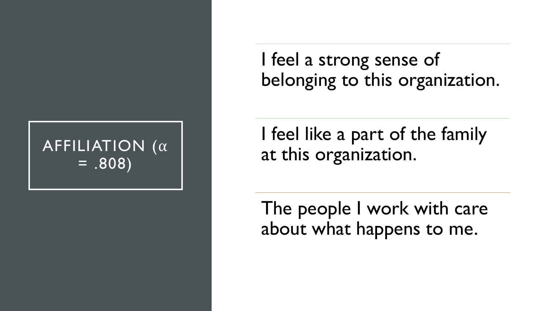# AFFILIATION (a)  $= .808$

I feel a strong sense of belonging to this organization.

I feel like a part of the family at this organization.

The people I work with care about what happens to me.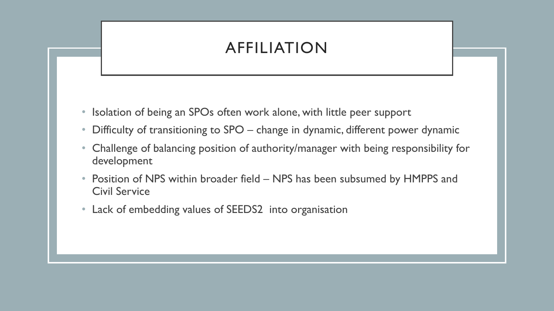# AFFILIATION

- Isolation of being an SPOs often work alone, with little peer support
- Difficulty of transitioning to SPO change in dynamic, different power dynamic
- Challenge of balancing position of authority/manager with being responsibility for development
- Position of NPS within broader field NPS has been subsumed by HMPPS and Civil Service
- Lack of embedding values of SEEDS2 into organisation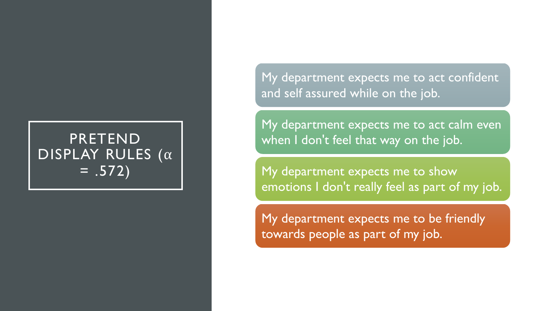### **PRETEND** DISPLAY RULES  $(\alpha$  $= .572)$

My department expects me to act confident and self assured while on the job.

My department expects me to act calm even when I don't feel that way on the job.

My department expects me to show emotions I don't really feel as part of my job.

My department expects me to be friendly towards people as part of my job.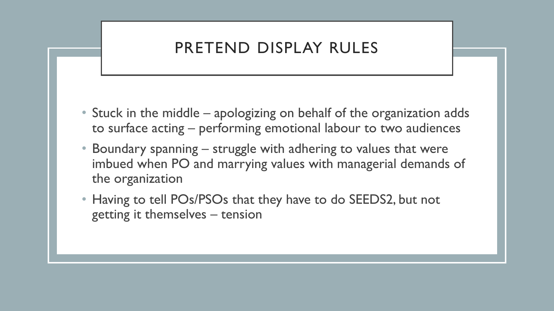# PRETEND DISPLAY RULES

- Stuck in the middle apologizing on behalf of the organization adds to surface acting – performing emotional labour to two audiences
- Boundary spanning struggle with adhering to values that were imbued when PO and marrying values with managerial demands of the organization
- Having to tell POs/PSOs that they have to do SEEDS2, but not getting it themselves – tension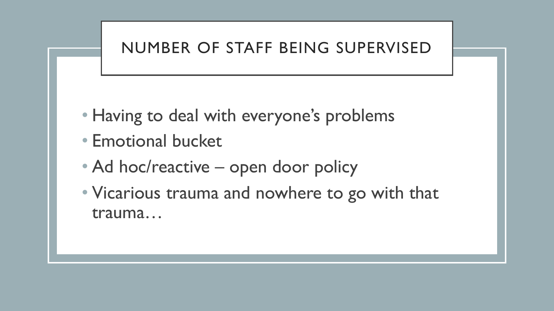# NUMBER OF STAFF BEING SUPERVISED

- Having to deal with everyone's problems
- Emotional bucket
- Ad hoc/reactive open door policy
- Vicarious trauma and nowhere to go with that trauma…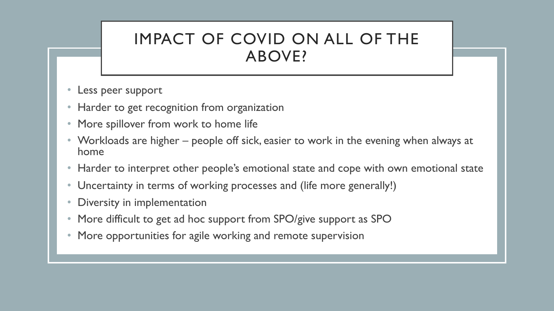### IMPACT OF COVID ON ALL OF THE ABOVE?

- Less peer support
- Harder to get recognition from organization
- More spillover from work to home life
- Workloads are higher people off sick, easier to work in the evening when always at home
- Harder to interpret other people's emotional state and cope with own emotional state
- Uncertainty in terms of working processes and (life more generally!)
- Diversity in implementation
- More difficult to get ad hoc support from SPO/give support as SPO
- More opportunities for agile working and remote supervision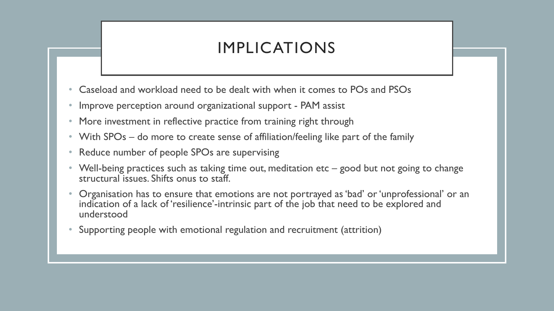# IMPLICATIONS

- Caseload and workload need to be dealt with when it comes to POs and PSOs
- Improve perception around organizational support PAM assist
- More investment in reflective practice from training right through
- With SPOs do more to create sense of affiliation/feeling like part of the family
- Reduce number of people SPOs are supervising
- Well-being practices such as taking time out, meditation etc good but not going to change structural issues. Shifts onus to staff.
- Organisation has to ensure that emotions are not portrayed as 'bad' or 'unprofessional' or an indication of a lack of 'resilience'-intrinsic part of the job that need to be explored and understood
- Supporting people with emotional regulation and recruitment (attrition)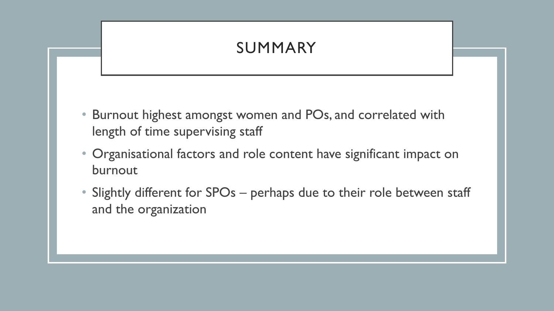# SUMMARY

- Burnout highest amongst women and POs, and correlated with length of time supervising staff
- Organisational factors and role content have significant impact on burnout
- Slightly different for SPOs perhaps due to their role between staff and the organization